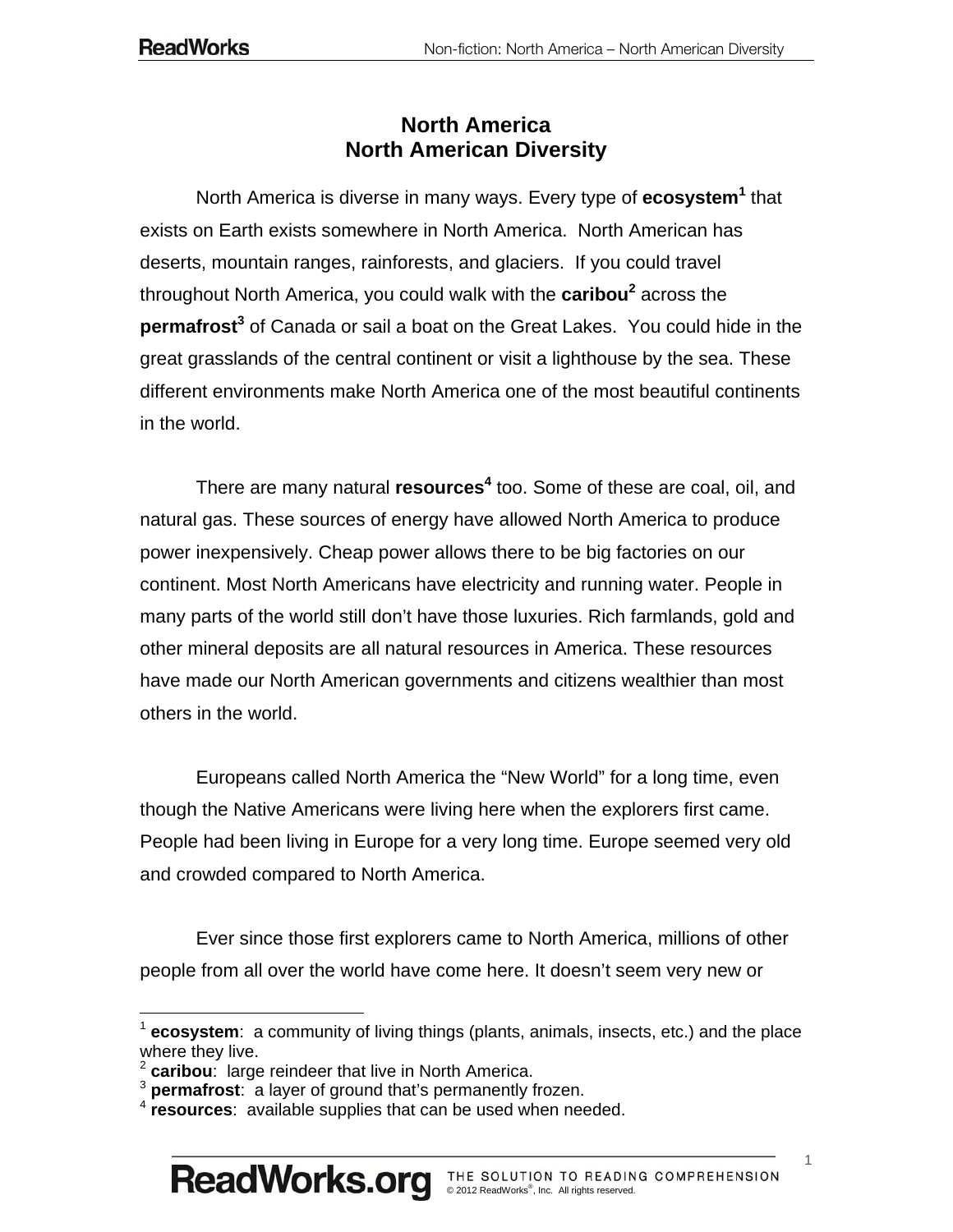## **North America North American Diversity**

North America is diverse in many ways. Every type of **ecosystem<sup>1</sup>** that exists on Earth exists somewhere in North America. North American has deserts, mountain ranges, rainforests, and glaciers. If you could travel throughout North America, you could walk with the **caribou<sup>2</sup> across the permafrost<sup>3</sup>** of Canada or sail a boat on the Great Lakes. You could hide in the great grasslands of the central continent or visit a lighthouse by the sea. These different environments make North America one of the most beautiful continents in the world.

There are many natural **resources<sup>4</sup>** too. Some of these are coal, oil, and natural gas. These sources of energy have allowed North America to produce power inexpensively. Cheap power allows there to be big factories on our continent. Most North Americans have electricity and running water. People in many parts of the world still don't have those luxuries. Rich farmlands, gold and other mineral deposits are all natural resources in America. These resources have made our North American governments and citizens wealthier than most others in the world.

Europeans called North America the "New World" for a long time, even though the Native Americans were living here when the explorers first came. People had been living in Europe for a very long time. Europe seemed very old and crowded compared to North America.

Ever since those first explorers came to North America, millions of other people from all over the world have come here. It doesn't seem very new or

 $\overline{a}$ 

<sup>1</sup> **ecosystem**: a community of living things (plants, animals, insects, etc.) and the place where they live.

**caribou**: large reindeer that live in North America.

<sup>3</sup> **permafrost**: a layer of ground that's permanently frozen.

<sup>4</sup> **resources**: available supplies that can be used when needed.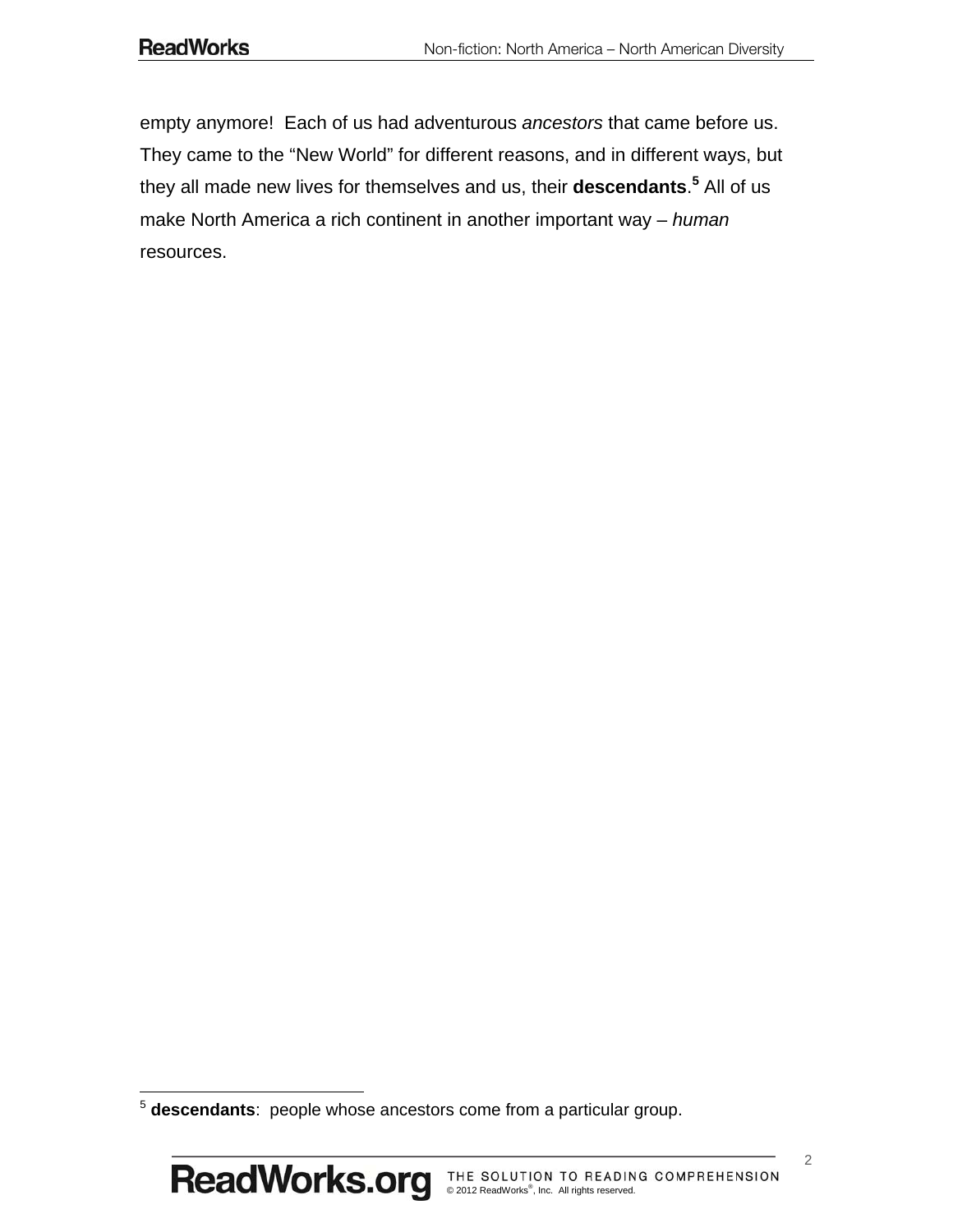empty anymore! Each of us had adventurous *ancestors* that came before us. They came to the "New World" for different reasons, and in different ways, but they all made new lives for themselves and us, their **descendants**. **5** All of us make North America a rich continent in another important way – *human* resources.

 $\overline{a}$ 

<sup>5</sup> **descendants**: people whose ancestors come from a particular group.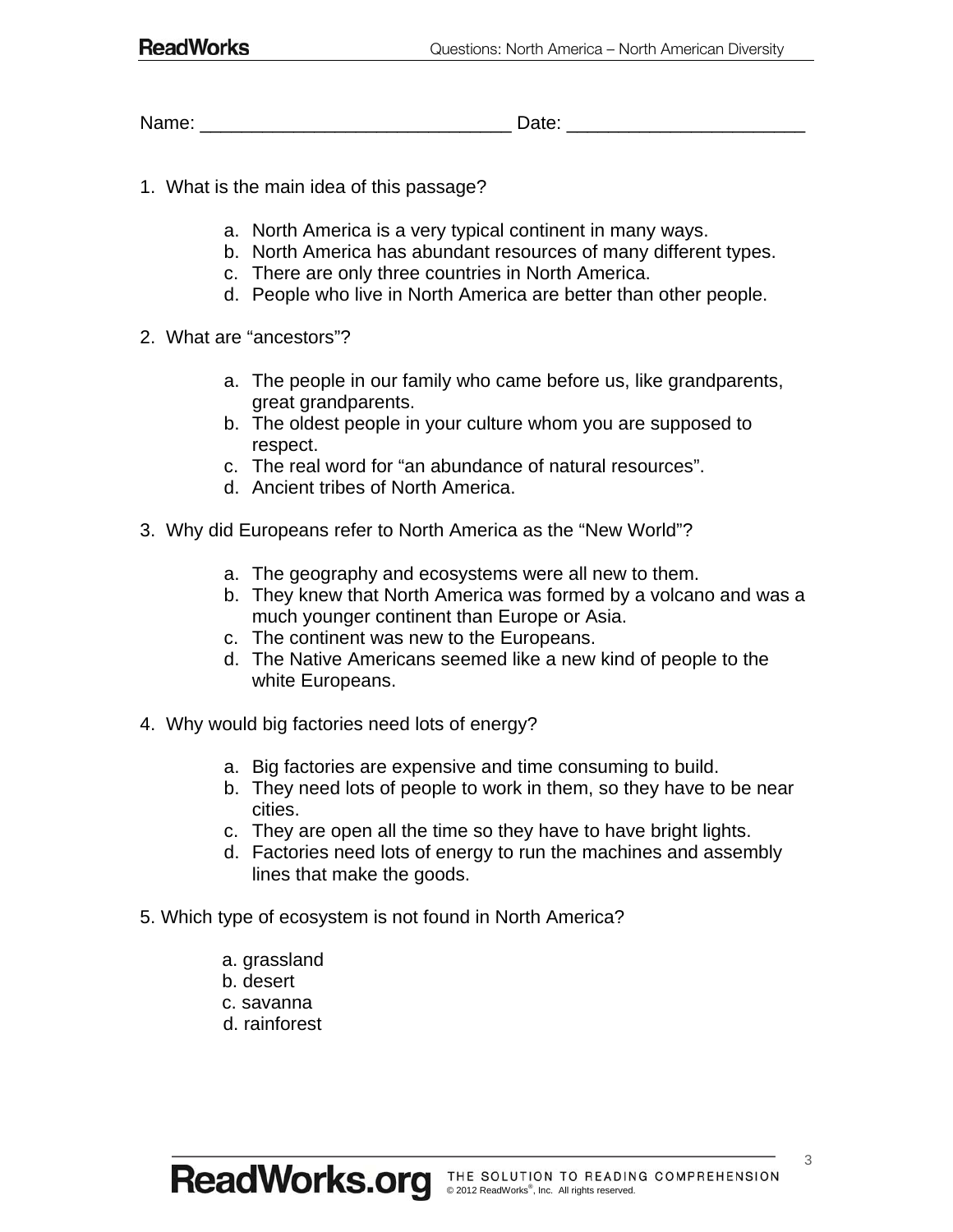Name: \_\_\_\_\_\_\_\_\_\_\_\_\_\_\_\_\_\_\_\_\_\_\_\_\_\_\_\_\_\_ Date: \_\_\_\_\_\_\_\_\_\_\_\_\_\_\_\_\_\_\_\_\_\_\_

- 1. What is the main idea of this passage?
	- a. North America is a very typical continent in many ways.
	- b. North America has abundant resources of many different types.
	- c. There are only three countries in North America.
	- d. People who live in North America are better than other people.
- 2. What are "ancestors"?
	- a. The people in our family who came before us, like grandparents, great grandparents.
	- b. The oldest people in your culture whom you are supposed to respect.
	- c. The real word for "an abundance of natural resources".
	- d. Ancient tribes of North America.
- 3. Why did Europeans refer to North America as the "New World"?
	- a. The geography and ecosystems were all new to them.
	- b. They knew that North America was formed by a volcano and was a much younger continent than Europe or Asia.
	- c. The continent was new to the Europeans.
	- d. The Native Americans seemed like a new kind of people to the white Europeans.
- 4. Why would big factories need lots of energy?
	- a. Big factories are expensive and time consuming to build.
	- b. They need lots of people to work in them, so they have to be near cities.
	- c. They are open all the time so they have to have bright lights.
	- d. Factories need lots of energy to run the machines and assembly lines that make the goods.
- 5. Which type of ecosystem is not found in North America?
	- a. grassland
	- b. desert
	- c. savanna
	- d. rainforest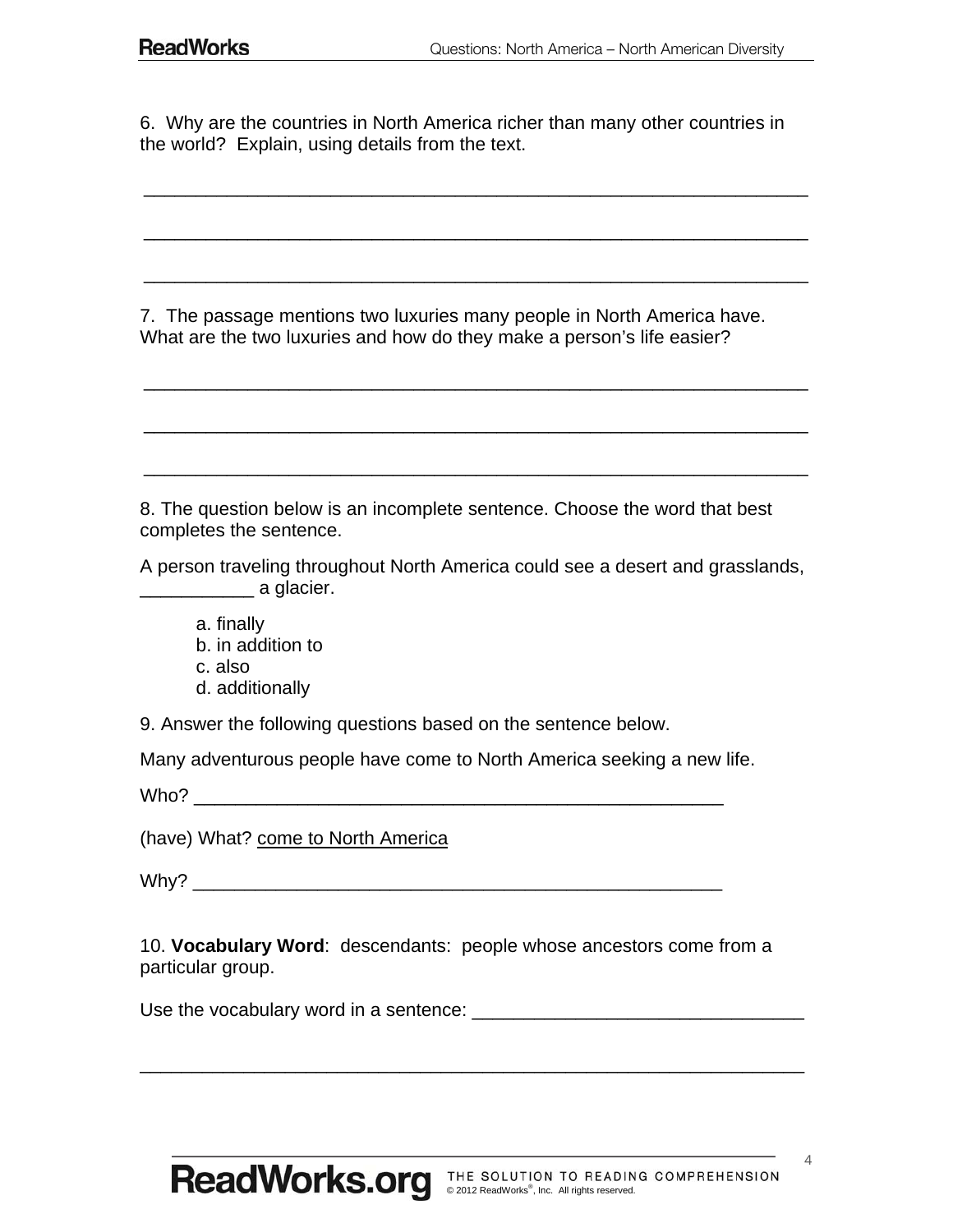6. Why are the countries in North America richer than many other countries in the world? Explain, using details from the text.

\_\_\_\_\_\_\_\_\_\_\_\_\_\_\_\_\_\_\_\_\_\_\_\_\_\_\_\_\_\_\_\_\_\_\_\_\_\_\_\_\_\_\_\_\_\_\_\_\_\_\_\_\_\_\_\_\_\_\_\_\_\_\_\_

\_\_\_\_\_\_\_\_\_\_\_\_\_\_\_\_\_\_\_\_\_\_\_\_\_\_\_\_\_\_\_\_\_\_\_\_\_\_\_\_\_\_\_\_\_\_\_\_\_\_\_\_\_\_\_\_\_\_\_\_\_\_\_\_

\_\_\_\_\_\_\_\_\_\_\_\_\_\_\_\_\_\_\_\_\_\_\_\_\_\_\_\_\_\_\_\_\_\_\_\_\_\_\_\_\_\_\_\_\_\_\_\_\_\_\_\_\_\_\_\_\_\_\_\_\_\_\_\_

\_\_\_\_\_\_\_\_\_\_\_\_\_\_\_\_\_\_\_\_\_\_\_\_\_\_\_\_\_\_\_\_\_\_\_\_\_\_\_\_\_\_\_\_\_\_\_\_\_\_\_\_\_\_\_\_\_\_\_\_\_\_\_\_

\_\_\_\_\_\_\_\_\_\_\_\_\_\_\_\_\_\_\_\_\_\_\_\_\_\_\_\_\_\_\_\_\_\_\_\_\_\_\_\_\_\_\_\_\_\_\_\_\_\_\_\_\_\_\_\_\_\_\_\_\_\_\_\_

\_\_\_\_\_\_\_\_\_\_\_\_\_\_\_\_\_\_\_\_\_\_\_\_\_\_\_\_\_\_\_\_\_\_\_\_\_\_\_\_\_\_\_\_\_\_\_\_\_\_\_\_\_\_\_\_\_\_\_\_\_\_\_\_

7. The passage mentions two luxuries many people in North America have. What are the two luxuries and how do they make a person's life easier?

8. The question below is an incomplete sentence. Choose the word that best completes the sentence.

A person traveling throughout North America could see a desert and grasslands, \_\_\_\_\_\_\_\_\_\_\_ a glacier.

- a. finally b. in addition to
- 
- c. also
- d. additionally

9. Answer the following questions based on the sentence below.

Many adventurous people have come to North America seeking a new life.

 $W$ ho?

(have) What? come to North America

 $Why?$ 

10. **Vocabulary Word**: descendants: people whose ancestors come from a particular group.

Use the vocabulary word in a sentence:  $\Box$ 

\_\_\_\_\_\_\_\_\_\_\_\_\_\_\_\_\_\_\_\_\_\_\_\_\_\_\_\_\_\_\_\_\_\_\_\_\_\_\_\_\_\_\_\_\_\_\_\_\_\_\_\_\_\_\_\_\_\_\_\_\_\_\_\_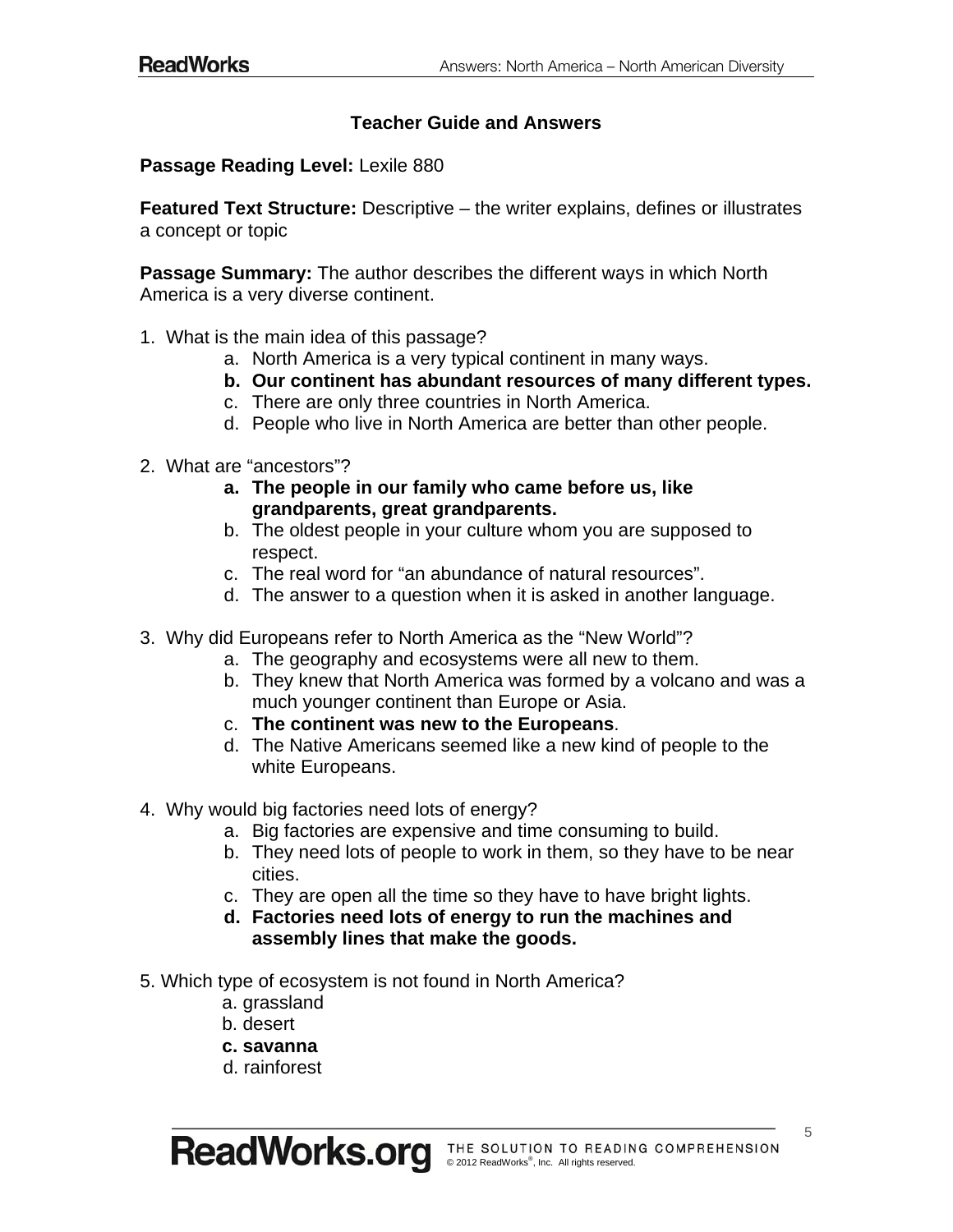## **Teacher Guide and Answers**

**Passage Reading Level:** Lexile 880

**Featured Text Structure:** Descriptive – the writer explains, defines or illustrates a concept or topic

**Passage Summary:** The author describes the different ways in which North America is a very diverse continent.

- 1. What is the main idea of this passage?
	- a. North America is a very typical continent in many ways.
	- **b. Our continent has abundant resources of many different types.**
	- c. There are only three countries in North America.
	- d. People who live in North America are better than other people.
- 2. What are "ancestors"?
	- **a. The people in our family who came before us, like grandparents, great grandparents.**
	- b. The oldest people in your culture whom you are supposed to respect.
	- c. The real word for "an abundance of natural resources".
	- d. The answer to a question when it is asked in another language.
- 3. Why did Europeans refer to North America as the "New World"?
	- a. The geography and ecosystems were all new to them.
	- b. They knew that North America was formed by a volcano and was a much younger continent than Europe or Asia.
	- c. **The continent was new to the Europeans**.
	- d. The Native Americans seemed like a new kind of people to the white Europeans.
- 4. Why would big factories need lots of energy?
	- a. Big factories are expensive and time consuming to build.
	- b. They need lots of people to work in them, so they have to be near cities.
	- c. They are open all the time so they have to have bright lights.
	- **d. Factories need lots of energy to run the machines and assembly lines that make the goods.**
- 5. Which type of ecosystem is not found in North America?
	- a. grassland
	- b. desert
	- **c. savanna**
	- d. rainforest